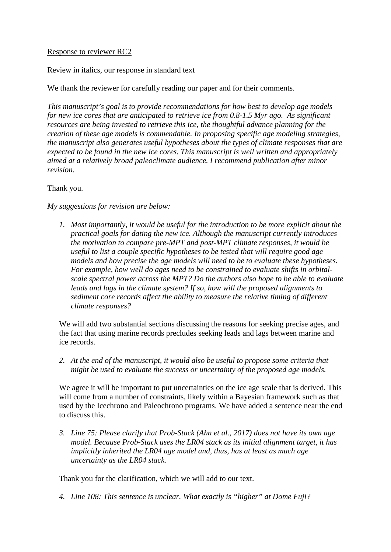## Response to reviewer RC2

Review in italics, our response in standard text

We thank the reviewer for carefully reading our paper and for their comments.

*This manuscript's goal is to provide recommendations for how best to develop age models for new ice cores that are anticipated to retrieve ice from 0.8-1.5 Myr ago. As significant resources are being invested to retrieve this ice, the thoughtful advance planning for the creation of these age models is commendable. In proposing specific age modeling strategies, the manuscript also generates useful hypotheses about the types of climate responses that are expected to be found in the new ice cores. This manuscript is well written and appropriately aimed at a relatively broad paleoclimate audience. I recommend publication after minor revision.* 

Thank you.

*My suggestions for revision are below:*

*1. Most importantly, it would be useful for the introduction to be more explicit about the practical goals for dating the new ice. Although the manuscript currently introduces the motivation to compare pre-MPT and post-MPT climate responses, it would be useful to list a couple specific hypotheses to be tested that will require good age models and how precise the age models will need to be to evaluate these hypotheses. For example, how well do ages need to be constrained to evaluate shifts in orbitalscale spectral power across the MPT? Do the authors also hope to be able to evaluate leads and lags in the climate system? If so, how will the proposed alignments to sediment core records affect the ability to measure the relative timing of different climate responses?*

We will add two substantial sections discussing the reasons for seeking precise ages, and the fact that using marine records precludes seeking leads and lags between marine and ice records.

*2. At the end of the manuscript, it would also be useful to propose some criteria that might be used to evaluate the success or uncertainty of the proposed age models.*

We agree it will be important to put uncertainties on the ice age scale that is derived. This will come from a number of constraints, likely within a Bayesian framework such as that used by the Icechrono and Paleochrono programs. We have added a sentence near the end to discuss this.

*3. Line 75: Please clarify that Prob-Stack (Ahn et al., 2017) does not have its own age model. Because Prob-Stack uses the LR04 stack as its initial alignment target, it has implicitly inherited the LR04 age model and, thus, has at least as much age uncertainty as the LR04 stack.*

Thank you for the clarification, which we will add to our text.

*4. Line 108: This sentence is unclear. What exactly is "higher" at Dome Fuji?*